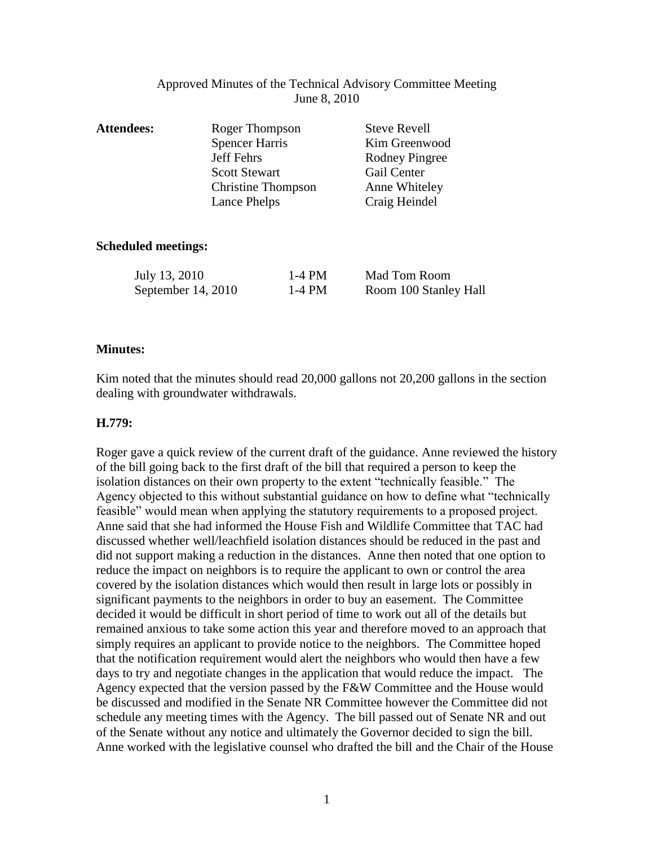## Approved Minutes of the Technical Advisory Committee Meeting June 8, 2010

| <b>Attendees:</b> | Roger Thompson            | <b>Steve Revell</b>   |
|-------------------|---------------------------|-----------------------|
|                   | <b>Spencer Harris</b>     | Kim Greenwood         |
|                   | Jeff Fehrs                | <b>Rodney Pingree</b> |
|                   | <b>Scott Stewart</b>      | Gail Center           |
|                   | <b>Christine Thompson</b> | Anne Whiteley         |
|                   | Lance Phelps              | Craig Heindel         |
|                   |                           |                       |
|                   |                           |                       |

### **Scheduled meetings:**

| July 13, 2010        | 1-4 PM | Mad Tom Room          |
|----------------------|--------|-----------------------|
| September $14, 2010$ | 1-4 PM | Room 100 Stanley Hall |

## **Minutes:**

Kim noted that the minutes should read 20,000 gallons not 20,200 gallons in the section dealing with groundwater withdrawals.

## **H.779:**

Roger gave a quick review of the current draft of the guidance. Anne reviewed the history of the bill going back to the first draft of the bill that required a person to keep the isolation distances on their own property to the extent "technically feasible." The Agency objected to this without substantial guidance on how to define what "technically feasible" would mean when applying the statutory requirements to a proposed project. Anne said that she had informed the House Fish and Wildlife Committee that TAC had discussed whether well/leachfield isolation distances should be reduced in the past and did not support making a reduction in the distances. Anne then noted that one option to reduce the impact on neighbors is to require the applicant to own or control the area covered by the isolation distances which would then result in large lots or possibly in significant payments to the neighbors in order to buy an easement. The Committee decided it would be difficult in short period of time to work out all of the details but remained anxious to take some action this year and therefore moved to an approach that simply requires an applicant to provide notice to the neighbors. The Committee hoped that the notification requirement would alert the neighbors who would then have a few days to try and negotiate changes in the application that would reduce the impact. The Agency expected that the version passed by the F&W Committee and the House would be discussed and modified in the Senate NR Committee however the Committee did not schedule any meeting times with the Agency. The bill passed out of Senate NR and out of the Senate without any notice and ultimately the Governor decided to sign the bill. Anne worked with the legislative counsel who drafted the bill and the Chair of the House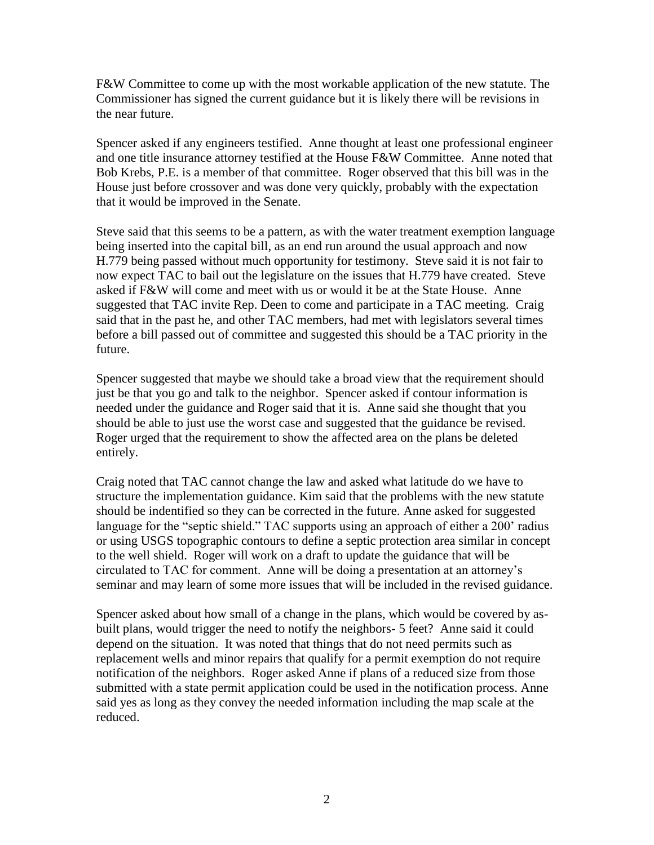F&W Committee to come up with the most workable application of the new statute. The Commissioner has signed the current guidance but it is likely there will be revisions in the near future.

Spencer asked if any engineers testified. Anne thought at least one professional engineer and one title insurance attorney testified at the House F&W Committee. Anne noted that Bob Krebs, P.E. is a member of that committee. Roger observed that this bill was in the House just before crossover and was done very quickly, probably with the expectation that it would be improved in the Senate.

Steve said that this seems to be a pattern, as with the water treatment exemption language being inserted into the capital bill, as an end run around the usual approach and now H.779 being passed without much opportunity for testimony. Steve said it is not fair to now expect TAC to bail out the legislature on the issues that H.779 have created. Steve asked if F&W will come and meet with us or would it be at the State House. Anne suggested that TAC invite Rep. Deen to come and participate in a TAC meeting. Craig said that in the past he, and other TAC members, had met with legislators several times before a bill passed out of committee and suggested this should be a TAC priority in the future.

Spencer suggested that maybe we should take a broad view that the requirement should just be that you go and talk to the neighbor. Spencer asked if contour information is needed under the guidance and Roger said that it is. Anne said she thought that you should be able to just use the worst case and suggested that the guidance be revised. Roger urged that the requirement to show the affected area on the plans be deleted entirely.

Craig noted that TAC cannot change the law and asked what latitude do we have to structure the implementation guidance. Kim said that the problems with the new statute should be indentified so they can be corrected in the future. Anne asked for suggested language for the "septic shield." TAC supports using an approach of either a 200' radius or using USGS topographic contours to define a septic protection area similar in concept to the well shield. Roger will work on a draft to update the guidance that will be circulated to TAC for comment. Anne will be doing a presentation at an attorney's seminar and may learn of some more issues that will be included in the revised guidance.

Spencer asked about how small of a change in the plans, which would be covered by asbuilt plans, would trigger the need to notify the neighbors- 5 feet? Anne said it could depend on the situation. It was noted that things that do not need permits such as replacement wells and minor repairs that qualify for a permit exemption do not require notification of the neighbors. Roger asked Anne if plans of a reduced size from those submitted with a state permit application could be used in the notification process. Anne said yes as long as they convey the needed information including the map scale at the reduced.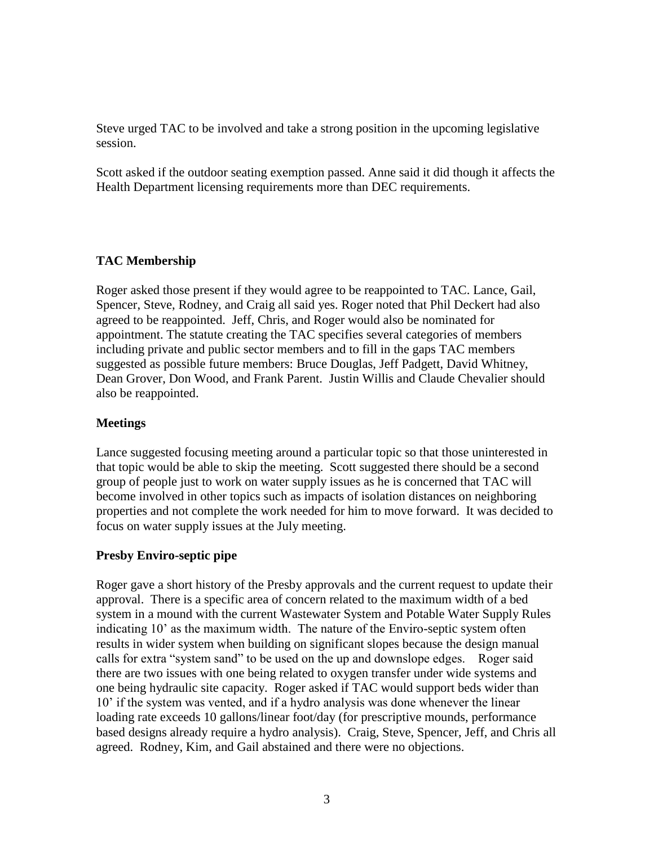Steve urged TAC to be involved and take a strong position in the upcoming legislative session.

Scott asked if the outdoor seating exemption passed. Anne said it did though it affects the Health Department licensing requirements more than DEC requirements.

# **TAC Membership**

Roger asked those present if they would agree to be reappointed to TAC. Lance, Gail, Spencer, Steve, Rodney, and Craig all said yes. Roger noted that Phil Deckert had also agreed to be reappointed. Jeff, Chris, and Roger would also be nominated for appointment. The statute creating the TAC specifies several categories of members including private and public sector members and to fill in the gaps TAC members suggested as possible future members: Bruce Douglas, Jeff Padgett, David Whitney, Dean Grover, Don Wood, and Frank Parent. Justin Willis and Claude Chevalier should also be reappointed.

## **Meetings**

Lance suggested focusing meeting around a particular topic so that those uninterested in that topic would be able to skip the meeting. Scott suggested there should be a second group of people just to work on water supply issues as he is concerned that TAC will become involved in other topics such as impacts of isolation distances on neighboring properties and not complete the work needed for him to move forward. It was decided to focus on water supply issues at the July meeting.

## **Presby Enviro-septic pipe**

Roger gave a short history of the Presby approvals and the current request to update their approval. There is a specific area of concern related to the maximum width of a bed system in a mound with the current Wastewater System and Potable Water Supply Rules indicating 10' as the maximum width. The nature of the Enviro-septic system often results in wider system when building on significant slopes because the design manual calls for extra "system sand" to be used on the up and downslope edges. Roger said there are two issues with one being related to oxygen transfer under wide systems and one being hydraulic site capacity. Roger asked if TAC would support beds wider than 10' if the system was vented, and if a hydro analysis was done whenever the linear loading rate exceeds 10 gallons/linear foot/day (for prescriptive mounds, performance based designs already require a hydro analysis). Craig, Steve, Spencer, Jeff, and Chris all agreed. Rodney, Kim, and Gail abstained and there were no objections.